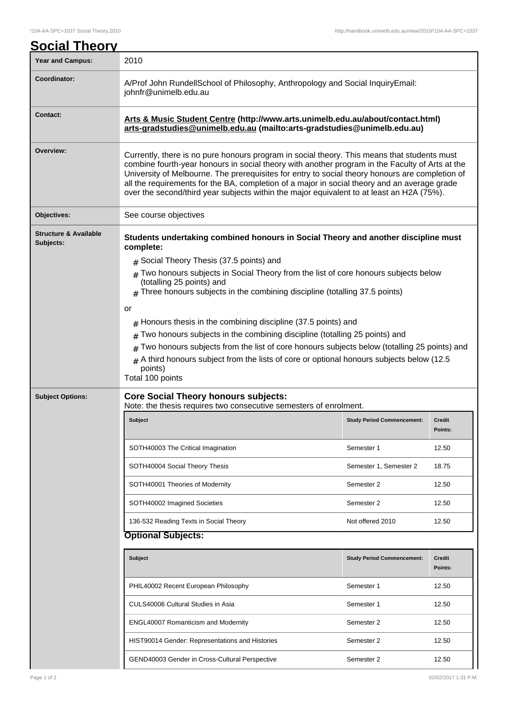| <b>Social Theory</b>                          |                                                                                                                                                                                                                                                                                                                                                                                                                                                                                                                                                                                                                                                                                                                                                       |                                   |                   |  |
|-----------------------------------------------|-------------------------------------------------------------------------------------------------------------------------------------------------------------------------------------------------------------------------------------------------------------------------------------------------------------------------------------------------------------------------------------------------------------------------------------------------------------------------------------------------------------------------------------------------------------------------------------------------------------------------------------------------------------------------------------------------------------------------------------------------------|-----------------------------------|-------------------|--|
| <b>Year and Campus:</b>                       | 2010                                                                                                                                                                                                                                                                                                                                                                                                                                                                                                                                                                                                                                                                                                                                                  |                                   |                   |  |
| Coordinator:                                  | A/Prof John RundellSchool of Philosophy, Anthropology and Social InquiryEmail:<br>johnfr@unimelb.edu.au                                                                                                                                                                                                                                                                                                                                                                                                                                                                                                                                                                                                                                               |                                   |                   |  |
| <b>Contact:</b>                               | Arts & Music Student Centre (http://www.arts.unimelb.edu.au/about/contact.html)<br>arts-gradstudies@unimelb.edu.au (mailto:arts-gradstudies@unimelb.edu.au)                                                                                                                                                                                                                                                                                                                                                                                                                                                                                                                                                                                           |                                   |                   |  |
| Overview:                                     | Currently, there is no pure honours program in social theory. This means that students must<br>combine fourth-year honours in social theory with another program in the Faculty of Arts at the<br>University of Melbourne. The prerequisites for entry to social theory honours are completion of<br>all the requirements for the BA, completion of a major in social theory and an average grade<br>over the second/third year subjects within the major equivalent to at least an H2A (75%).                                                                                                                                                                                                                                                        |                                   |                   |  |
| Objectives:                                   | See course objectives                                                                                                                                                                                                                                                                                                                                                                                                                                                                                                                                                                                                                                                                                                                                 |                                   |                   |  |
| <b>Structure &amp; Available</b><br>Subjects: | Students undertaking combined honours in Social Theory and another discipline must<br>complete:<br>$#$ Social Theory Thesis (37.5 points) and<br>Two honours subjects in Social Theory from the list of core honours subjects below<br>#<br>(totalling 25 points) and<br>Three honours subjects in the combining discipline (totalling 37.5 points)<br>or<br>Honours thesis in the combining discipline (37.5 points) and<br>#<br>Two honours subjects in the combining discipline (totalling 25 points) and<br>#<br>Two honours subjects from the list of core honours subjects below (totalling 25 points) and<br>#<br>A third honours subject from the lists of core or optional honours subjects below (12.5)<br>#<br>points)<br>Total 100 points |                                   |                   |  |
| <b>Subject Options:</b>                       | <b>Core Social Theory honours subjects:</b><br>Note: the thesis requires two consecutive semesters of enrolment.                                                                                                                                                                                                                                                                                                                                                                                                                                                                                                                                                                                                                                      |                                   |                   |  |
|                                               | Subject                                                                                                                                                                                                                                                                                                                                                                                                                                                                                                                                                                                                                                                                                                                                               | <b>Study Period Commencement:</b> | Credit<br>Points: |  |
|                                               | SOTH40003 The Critical Imagination                                                                                                                                                                                                                                                                                                                                                                                                                                                                                                                                                                                                                                                                                                                    | Semester 1                        | 12.50             |  |
|                                               | SOTH40004 Social Theory Thesis                                                                                                                                                                                                                                                                                                                                                                                                                                                                                                                                                                                                                                                                                                                        | Semester 1, Semester 2            | 18.75             |  |
|                                               | SOTH40001 Theories of Modernity                                                                                                                                                                                                                                                                                                                                                                                                                                                                                                                                                                                                                                                                                                                       | Semester 2                        | 12.50             |  |
|                                               | SOTH40002 Imagined Societies                                                                                                                                                                                                                                                                                                                                                                                                                                                                                                                                                                                                                                                                                                                          | Semester 2                        | 12.50             |  |
|                                               | 136-532 Reading Texts in Social Theory                                                                                                                                                                                                                                                                                                                                                                                                                                                                                                                                                                                                                                                                                                                | Not offered 2010                  | 12.50             |  |
|                                               | <b>Optional Subjects:</b>                                                                                                                                                                                                                                                                                                                                                                                                                                                                                                                                                                                                                                                                                                                             |                                   |                   |  |
|                                               | Subject                                                                                                                                                                                                                                                                                                                                                                                                                                                                                                                                                                                                                                                                                                                                               | <b>Study Period Commencement:</b> | Credit<br>Points: |  |
|                                               | PHIL40002 Recent European Philosophy                                                                                                                                                                                                                                                                                                                                                                                                                                                                                                                                                                                                                                                                                                                  | Semester 1                        | 12.50             |  |
|                                               | CULS40006 Cultural Studies in Asia                                                                                                                                                                                                                                                                                                                                                                                                                                                                                                                                                                                                                                                                                                                    | Semester 1                        | 12.50             |  |
|                                               | ENGL40007 Romanticism and Modernity                                                                                                                                                                                                                                                                                                                                                                                                                                                                                                                                                                                                                                                                                                                   | Semester 2                        | 12.50             |  |
|                                               | HIST90014 Gender: Representations and Histories                                                                                                                                                                                                                                                                                                                                                                                                                                                                                                                                                                                                                                                                                                       | Semester 2                        | 12.50             |  |

GEND40003 Gender in Cross-Cultural Perspective Semester 2 12.50